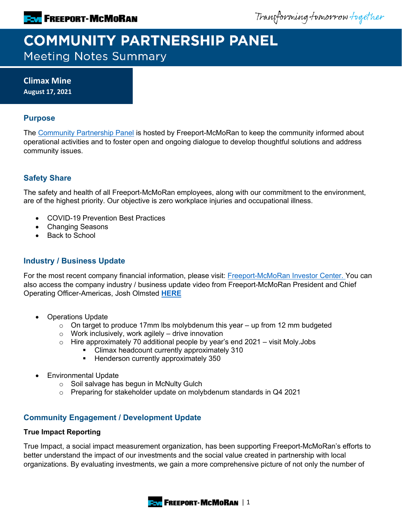Transforming tomorrow together

# **COMMUNITY PARTNERSHIP PANEL Meeting Notes Summary**

**Climax Mine August 17, 2021**

## **Purpose**

The [Community Partnership Panel](https://www.freeportinmycommunity.com/stakeholders/stakeholder-engagement-) is hosted by Freeport-McMoRan to keep the community informed about operational activities and to foster open and ongoing dialogue to develop thoughtful solutions and address community issues.

# **Safety Share**

The safety and health of all Freeport-McMoRan employees, along with our commitment to the environment, are of the highest priority. Our objective is zero workplace injuries and occupational illness.

- COVID-19 Prevention Best Practices
- Changing Seasons
- Back to School

## **Industry / Business Update**

For the most recent company financial information, please visit: **Freeport-McMoRan Investor Center.** You can also access the company industry / business update video from Freeport-McMoRan President and Chief Operating Officer-Americas, Josh Olmsted **[HERE](https://fmi.hosted.panopto.com/Panopto/Pages/Viewer.aspx?id=1db79e82-512e-46a0-87fa-ad7b01320113)**

- Operations Update
	- $\circ$  On target to produce 17mm lbs molybdenum this year up from 12 mm budgeted
	- $\circ$  Work inclusively, work agilely drive innovation
	- $\circ$  Hire approximately 70 additional people by year's end 2021 visit Moly.Jobs<br>Climax headcount currently approximately 310
		- Climax headcount currently approximately 310
		- **Henderson currently approximately 350**
- Environmental Update
	- o Soil salvage has begun in McNulty Gulch
	- o Preparing for stakeholder update on molybdenum standards in Q4 2021

## **Community Engagement / Development Update**

#### **True Impact Reporting**

True Impact, a social impact measurement organization, has been supporting Freeport-McMoRan's efforts to better understand the impact of our investments and the social value created in partnership with local organizations. By evaluating investments, we gain a more comprehensive picture of not only the number of